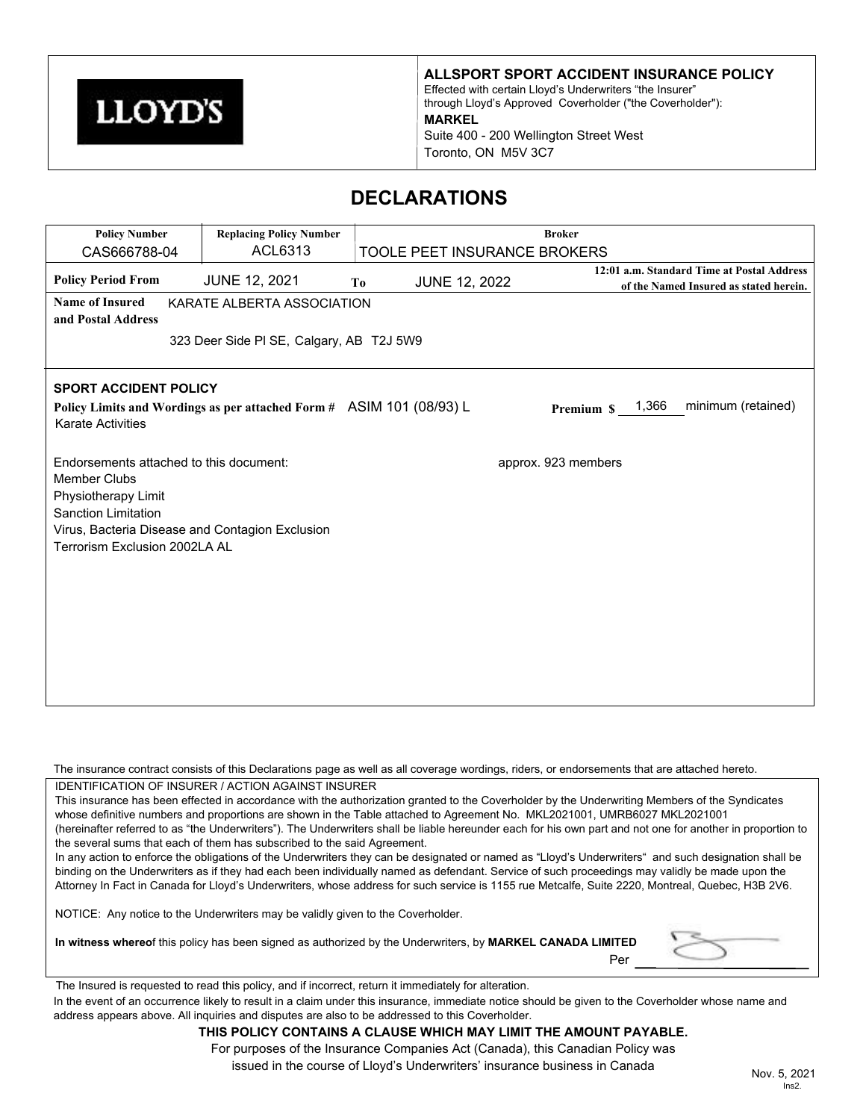

**ALLSPORT SPORT ACCIDENT INSURANCE POLICY**

Effected with certain Lloyd's Underwriters "the Insurer" through Lloyd's Approved Coverholder ("the Coverholder"): **MARKEL** Suite 400 - 200 Wellington Street West Toronto, ON M5V 3C7

# **DECLARATIONS**

| <b>Policy Number</b>                                                                                                                                                                                    | <b>Replacing Policy Number</b>                                       | <b>Broker</b>                          |                              |                                                                                      |
|---------------------------------------------------------------------------------------------------------------------------------------------------------------------------------------------------------|----------------------------------------------------------------------|----------------------------------------|------------------------------|--------------------------------------------------------------------------------------|
| CAS666788-04                                                                                                                                                                                            | ACL6313                                                              |                                        | TOOLE PEET INSURANCE BROKERS |                                                                                      |
| <b>Policy Period From</b>                                                                                                                                                                               | <b>JUNE 12, 2021</b>                                                 | <b>JUNE 12, 2022</b><br>T <sub>0</sub> |                              | 12:01 a.m. Standard Time at Postal Address<br>of the Named Insured as stated herein. |
| <b>Name of Insured</b><br>and Postal Address                                                                                                                                                            | KARATE ALBERTA ASSOCIATION                                           |                                        |                              |                                                                                      |
|                                                                                                                                                                                                         | 323 Deer Side PI SE, Calgary, AB T2J 5W9                             |                                        |                              |                                                                                      |
| <b>SPORT ACCIDENT POLICY</b><br><b>Karate Activities</b>                                                                                                                                                | Policy Limits and Wordings as per attached Form # ASIM 101 (08/93) L |                                        | Premium \$                   | minimum (retained)<br>1,366                                                          |
| Endorsements attached to this document:<br><b>Member Clubs</b><br>Physiotherapy Limit<br><b>Sanction Limitation</b><br>Virus, Bacteria Disease and Contagion Exclusion<br>Terrorism Exclusion 2002LA AL |                                                                      |                                        | approx. 923 members          |                                                                                      |

The insurance contract consists of this Declarations page as well as all coverage wordings, riders, or endorsements that are attached hereto. IDENTIFICATION OF INSURER / ACTION AGAINST INSURER

This insurance has been effected in accordance with the authorization granted to the Coverholder by the Underwriting Members of the Syndicates whose definitive numbers and proportions are shown in the Table attached to Agreement No. MKL2021001, UMRB6027 MKL2021001 (hereinafter referred to as "the Underwriters"). The Underwriters shall be liable hereunder each for his own part and not one for another in proportion to the several sums that each of them has subscribed to the said Agreement.

In any action to enforce the obligations of the Underwriters they can be designated or named as "Lloyd's Underwriters" and such designation shall be binding on the Underwriters as if they had each been individually named as defendant. Service of such proceedings may validly be made upon the Attorney In Fact in Canada for Lloyd's Underwriters, whose address for such service is 1155 rue Metcalfe, Suite 2220, Montreal, Quebec, H3B 2V6.

NOTICE: Any notice to the Underwriters may be validly given to the Coverholder.

**In witness whereo**f this policy has been signed as authorized by the Underwriters, by **MARKEL CANADA LIMITED** Per



The Insured is requested to read this policy, and if incorrect, return it immediately for alteration.

In the event of an occurrence likely to result in a claim under this insurance, immediate notice should be given to the Coverholder whose name and address appears above. All inquiries and disputes are also to be addressed to this Coverholder.

# **THIS POLICY CONTAINS A CLAUSE WHICH MAY LIMIT THE AMOUNT PAYABLE.**

For purposes of the Insurance Companies Act (Canada), this Canadian Policy was issued in the course of Lloyd's Underwriters' insurance business in Canada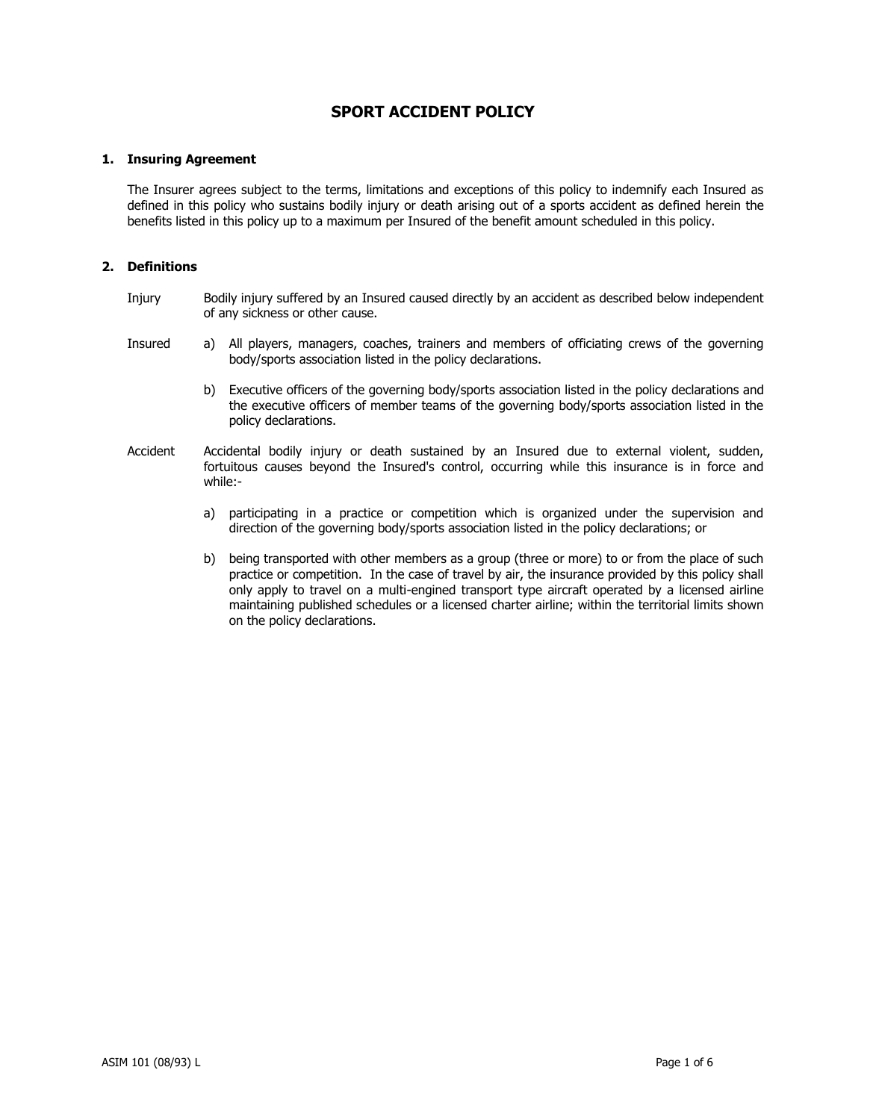# **SPORT ACCIDENT POLICY**

# **1. Insuring Agreement**

The Insurer agrees subject to the terms, limitations and exceptions of this policy to indemnify each Insured as defined in this policy who sustains bodily injury or death arising out of a sports accident as defined herein the benefits listed in this policy up to a maximum per Insured of the benefit amount scheduled in this policy.

# **2. Definitions**

- Injury Bodily injury suffered by an Insured caused directly by an accident as described below independent of any sickness or other cause.
- Insured a) All players, managers, coaches, trainers and members of officiating crews of the governing body/sports association listed in the policy declarations.
	- b) Executive officers of the governing body/sports association listed in the policy declarations and the executive officers of member teams of the governing body/sports association listed in the policy declarations.
- Accident Accidental bodily injury or death sustained by an Insured due to external violent, sudden, fortuitous causes beyond the Insured's control, occurring while this insurance is in force and while:
	- a) participating in a practice or competition which is organized under the supervision and direction of the governing body/sports association listed in the policy declarations; or
	- b) being transported with other members as a group (three or more) to or from the place of such practice or competition. In the case of travel by air, the insurance provided by this policy shall only apply to travel on a multi-engined transport type aircraft operated by a licensed airline maintaining published schedules or a licensed charter airline; within the territorial limits shown on the policy declarations.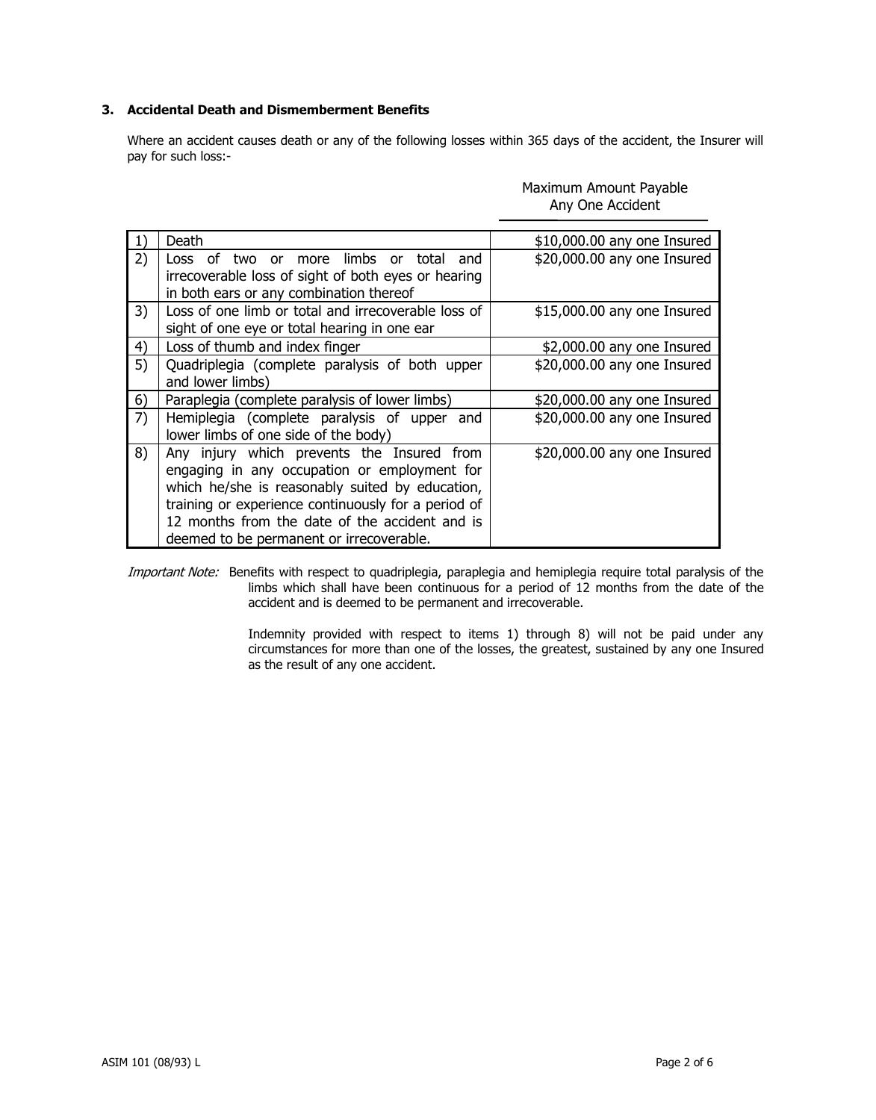# **3. Accidental Death and Dismemberment Benefits**

Where an accident causes death or any of the following losses within 365 days of the accident, the Insurer will pay for such loss:-

| 1) | Death                                                                                                                                                                                                                                                                                              | \$10,000.00 any one Insured |
|----|----------------------------------------------------------------------------------------------------------------------------------------------------------------------------------------------------------------------------------------------------------------------------------------------------|-----------------------------|
| 2) | more limbs<br>Loss of<br>total<br>two or<br>and<br>or<br>irrecoverable loss of sight of both eyes or hearing<br>in both ears or any combination thereof                                                                                                                                            | \$20,000.00 any one Insured |
| 3) | Loss of one limb or total and irrecoverable loss of<br>sight of one eye or total hearing in one ear                                                                                                                                                                                                | \$15,000.00 any one Insured |
| 4) | Loss of thumb and index finger                                                                                                                                                                                                                                                                     | \$2,000.00 any one Insured  |
| 5) | Quadriplegia (complete paralysis of both upper<br>and lower limbs)                                                                                                                                                                                                                                 | \$20,000.00 any one Insured |
| 6) | Paraplegia (complete paralysis of lower limbs)                                                                                                                                                                                                                                                     | \$20,000.00 any one Insured |
| 7) | Hemiplegia (complete paralysis of upper<br>and<br>lower limbs of one side of the body)                                                                                                                                                                                                             | \$20,000.00 any one Insured |
| 8) | Any injury which prevents the Insured from<br>engaging in any occupation or employment for<br>which he/she is reasonably suited by education,<br>training or experience continuously for a period of<br>12 months from the date of the accident and is<br>deemed to be permanent or irrecoverable. | \$20,000.00 any one Insured |

Maximum Amount Payable Any One Accident

Important Note: Benefits with respect to quadriplegia, paraplegia and hemiplegia require total paralysis of the limbs which shall have been continuous for a period of 12 months from the date of the accident and is deemed to be permanent and irrecoverable.

> Indemnity provided with respect to items 1) through 8) will not be paid under any circumstances for more than one of the losses, the greatest, sustained by any one Insured as the result of any one accident.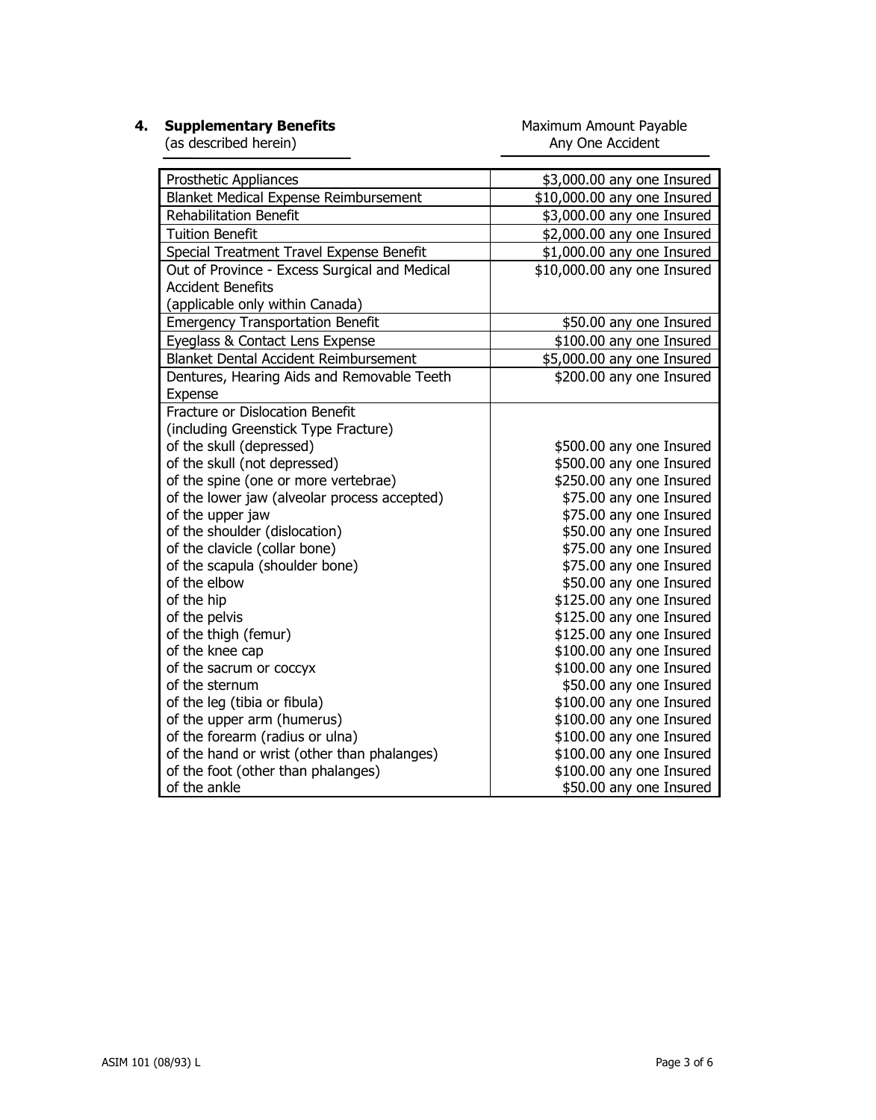**4. Supplementary Benefits**

Maximum Amount Payable Any One Accident

(as described herein)

| Prosthetic Appliances                                                                                                                                                                                                                           | \$3,000.00 any one Insured                                                                                                                                                                                                 |
|-------------------------------------------------------------------------------------------------------------------------------------------------------------------------------------------------------------------------------------------------|----------------------------------------------------------------------------------------------------------------------------------------------------------------------------------------------------------------------------|
| Blanket Medical Expense Reimbursement                                                                                                                                                                                                           | \$10,000.00 any one Insured                                                                                                                                                                                                |
| <b>Rehabilitation Benefit</b>                                                                                                                                                                                                                   | \$3,000.00 any one Insured                                                                                                                                                                                                 |
| <b>Tuition Benefit</b>                                                                                                                                                                                                                          | \$2,000.00 any one Insured                                                                                                                                                                                                 |
| Special Treatment Travel Expense Benefit                                                                                                                                                                                                        | \$1,000.00 any one Insured                                                                                                                                                                                                 |
| Out of Province - Excess Surgical and Medical                                                                                                                                                                                                   | \$10,000.00 any one Insured                                                                                                                                                                                                |
| <b>Accident Benefits</b>                                                                                                                                                                                                                        |                                                                                                                                                                                                                            |
| (applicable only within Canada)                                                                                                                                                                                                                 |                                                                                                                                                                                                                            |
| <b>Emergency Transportation Benefit</b>                                                                                                                                                                                                         | \$50.00 any one Insured                                                                                                                                                                                                    |
| Eyeglass & Contact Lens Expense                                                                                                                                                                                                                 | \$100.00 any one Insured                                                                                                                                                                                                   |
| <b>Blanket Dental Accident Reimbursement</b>                                                                                                                                                                                                    | \$5,000.00 any one Insured                                                                                                                                                                                                 |
| Dentures, Hearing Aids and Removable Teeth                                                                                                                                                                                                      | \$200.00 any one Insured                                                                                                                                                                                                   |
| Expense                                                                                                                                                                                                                                         |                                                                                                                                                                                                                            |
| <b>Fracture or Dislocation Benefit</b>                                                                                                                                                                                                          |                                                                                                                                                                                                                            |
| (including Greenstick Type Fracture)                                                                                                                                                                                                            |                                                                                                                                                                                                                            |
| of the skull (depressed)                                                                                                                                                                                                                        | \$500.00 any one Insured                                                                                                                                                                                                   |
| of the skull (not depressed)                                                                                                                                                                                                                    | \$500.00 any one Insured                                                                                                                                                                                                   |
| of the spine (one or more vertebrae)                                                                                                                                                                                                            | \$250.00 any one Insured                                                                                                                                                                                                   |
| of the lower jaw (alveolar process accepted)                                                                                                                                                                                                    | \$75.00 any one Insured                                                                                                                                                                                                    |
| of the upper jaw                                                                                                                                                                                                                                | \$75.00 any one Insured                                                                                                                                                                                                    |
| of the shoulder (dislocation)                                                                                                                                                                                                                   | \$50.00 any one Insured                                                                                                                                                                                                    |
| of the clavicle (collar bone)                                                                                                                                                                                                                   | \$75.00 any one Insured                                                                                                                                                                                                    |
| of the scapula (shoulder bone)                                                                                                                                                                                                                  | \$75.00 any one Insured                                                                                                                                                                                                    |
| of the elbow                                                                                                                                                                                                                                    | \$50.00 any one Insured                                                                                                                                                                                                    |
| of the hip                                                                                                                                                                                                                                      | \$125.00 any one Insured                                                                                                                                                                                                   |
| of the pelvis                                                                                                                                                                                                                                   | \$125.00 any one Insured                                                                                                                                                                                                   |
| of the thigh (femur)                                                                                                                                                                                                                            | \$125.00 any one Insured                                                                                                                                                                                                   |
| of the knee cap                                                                                                                                                                                                                                 | \$100.00 any one Insured                                                                                                                                                                                                   |
|                                                                                                                                                                                                                                                 |                                                                                                                                                                                                                            |
|                                                                                                                                                                                                                                                 |                                                                                                                                                                                                                            |
|                                                                                                                                                                                                                                                 |                                                                                                                                                                                                                            |
|                                                                                                                                                                                                                                                 |                                                                                                                                                                                                                            |
|                                                                                                                                                                                                                                                 |                                                                                                                                                                                                                            |
|                                                                                                                                                                                                                                                 |                                                                                                                                                                                                                            |
|                                                                                                                                                                                                                                                 |                                                                                                                                                                                                                            |
| of the sacrum or coccyx<br>of the sternum<br>of the leg (tibia or fibula)<br>of the upper arm (humerus)<br>of the forearm (radius or ulna)<br>of the hand or wrist (other than phalanges)<br>of the foot (other than phalanges)<br>of the ankle | \$100.00 any one Insured<br>\$50.00 any one Insured<br>\$100.00 any one Insured<br>\$100.00 any one Insured<br>\$100.00 any one Insured<br>\$100.00 any one Insured<br>\$100.00 any one Insured<br>\$50.00 any one Insured |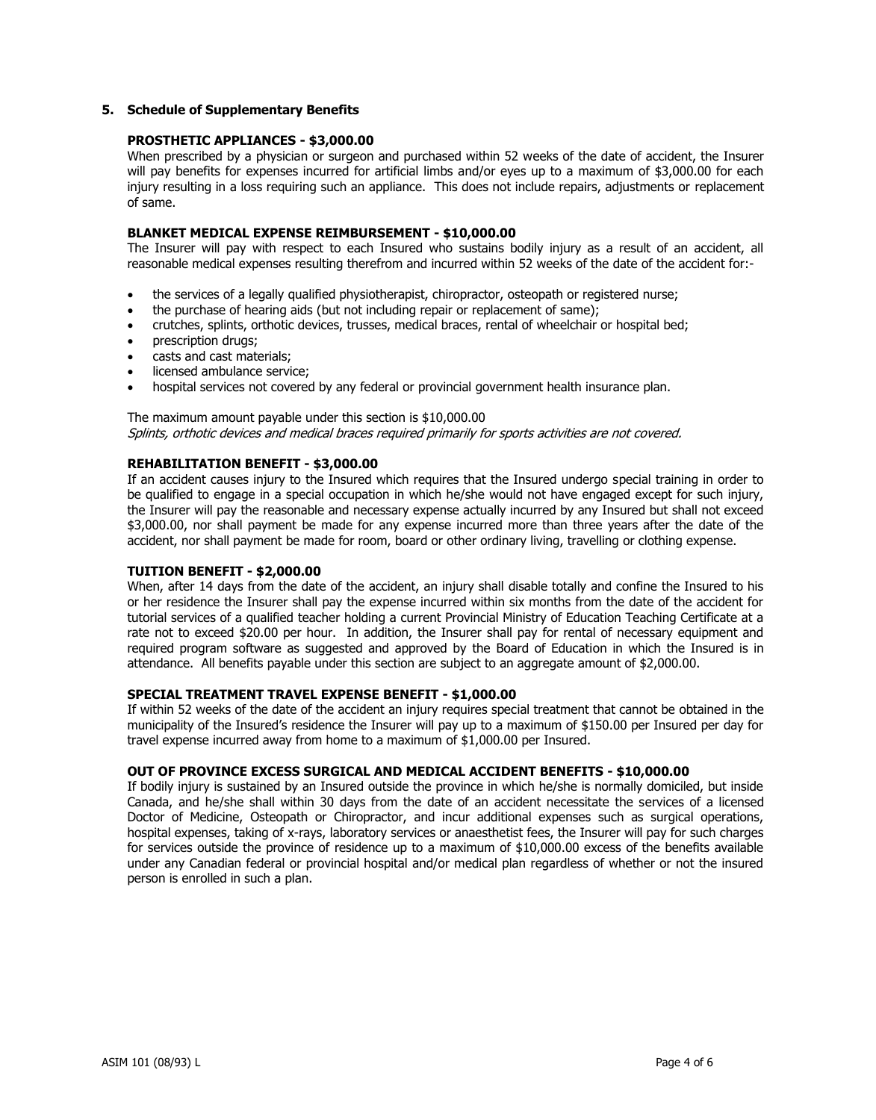# **5. Schedule of Supplementary Benefits**

# **PROSTHETIC APPLIANCES - \$3,000.00**

When prescribed by a physician or surgeon and purchased within 52 weeks of the date of accident, the Insurer will pay benefits for expenses incurred for artificial limbs and/or eyes up to a maximum of \$3,000.00 for each injury resulting in a loss requiring such an appliance. This does not include repairs, adjustments or replacement of same.

## **BLANKET MEDICAL EXPENSE REIMBURSEMENT - \$10,000.00**

The Insurer will pay with respect to each Insured who sustains bodily injury as a result of an accident, all reasonable medical expenses resulting therefrom and incurred within 52 weeks of the date of the accident for:-

- the services of a legally qualified physiotherapist, chiropractor, osteopath or registered nurse;
- the purchase of hearing aids (but not including repair or replacement of same);
- crutches, splints, orthotic devices, trusses, medical braces, rental of wheelchair or hospital bed;
- prescription drugs;
- casts and cast materials;
- licensed ambulance service:
- hospital services not covered by any federal or provincial government health insurance plan.

## The maximum amount payable under this section is \$10,000.00 Splints, orthotic devices and medical braces required primarily for sports activities are not covered.

## **REHABILITATION BENEFIT - \$3,000.00**

If an accident causes injury to the Insured which requires that the Insured undergo special training in order to be qualified to engage in a special occupation in which he/she would not have engaged except for such injury, the Insurer will pay the reasonable and necessary expense actually incurred by any Insured but shall not exceed \$3,000.00, nor shall payment be made for any expense incurred more than three years after the date of the accident, nor shall payment be made for room, board or other ordinary living, travelling or clothing expense.

## **TUITION BENEFIT - \$2,000.00**

When, after 14 days from the date of the accident, an injury shall disable totally and confine the Insured to his or her residence the Insurer shall pay the expense incurred within six months from the date of the accident for tutorial services of a qualified teacher holding a current Provincial Ministry of Education Teaching Certificate at a rate not to exceed \$20.00 per hour. In addition, the Insurer shall pay for rental of necessary equipment and required program software as suggested and approved by the Board of Education in which the Insured is in attendance. All benefits payable under this section are subject to an aggregate amount of \$2,000.00.

# **SPECIAL TREATMENT TRAVEL EXPENSE BENEFIT - \$1,000.00**

If within 52 weeks of the date of the accident an injury requires special treatment that cannot be obtained in the municipality of the Insured's residence the Insurer will pay up to a maximum of \$150.00 per Insured per day for travel expense incurred away from home to a maximum of \$1,000.00 per Insured.

# **OUT OF PROVINCE EXCESS SURGICAL AND MEDICAL ACCIDENT BENEFITS - \$10,000.00**

If bodily injury is sustained by an Insured outside the province in which he/she is normally domiciled, but inside Canada, and he/she shall within 30 days from the date of an accident necessitate the services of a licensed Doctor of Medicine, Osteopath or Chiropractor, and incur additional expenses such as surgical operations, hospital expenses, taking of x-rays, laboratory services or anaesthetist fees, the Insurer will pay for such charges for services outside the province of residence up to a maximum of \$10,000.00 excess of the benefits available under any Canadian federal or provincial hospital and/or medical plan regardless of whether or not the insured person is enrolled in such a plan.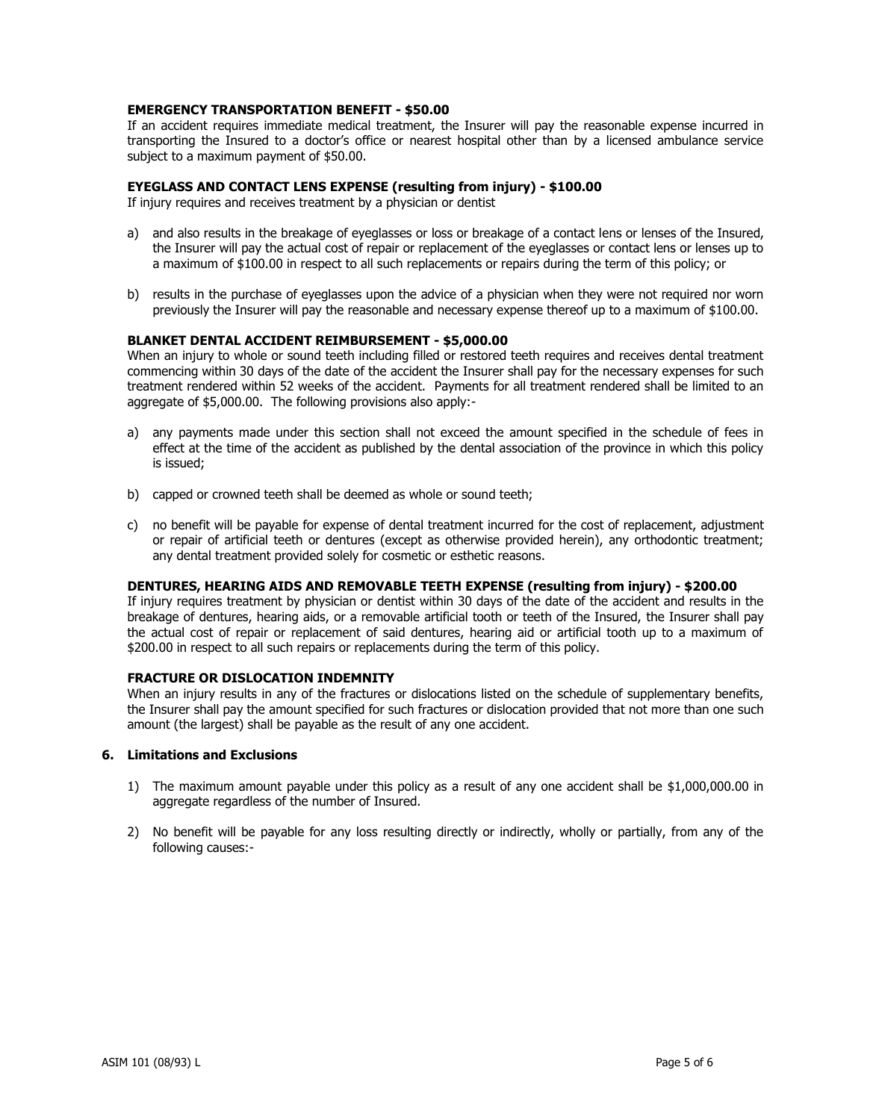# **EMERGENCY TRANSPORTATION BENEFIT - \$50.00**

If an accident requires immediate medical treatment, the Insurer will pay the reasonable expense incurred in transporting the Insured to a doctor's office or nearest hospital other than by a licensed ambulance service subject to a maximum payment of \$50.00.

### **EYEGLASS AND CONTACT LENS EXPENSE (resulting from injury) - \$100.00**

If injury requires and receives treatment by a physician or dentist

- a) and also results in the breakage of eyeglasses or loss or breakage of a contact lens or lenses of the Insured, the Insurer will pay the actual cost of repair or replacement of the eyeglasses or contact lens or lenses up to a maximum of \$100.00 in respect to all such replacements or repairs during the term of this policy; or
- b) results in the purchase of eyeglasses upon the advice of a physician when they were not required nor worn previously the Insurer will pay the reasonable and necessary expense thereof up to a maximum of \$100.00.

#### **BLANKET DENTAL ACCIDENT REIMBURSEMENT - \$5,000.00**

When an injury to whole or sound teeth including filled or restored teeth requires and receives dental treatment commencing within 30 days of the date of the accident the Insurer shall pay for the necessary expenses for such treatment rendered within 52 weeks of the accident. Payments for all treatment rendered shall be limited to an aggregate of \$5,000.00. The following provisions also apply:-

- a) any payments made under this section shall not exceed the amount specified in the schedule of fees in effect at the time of the accident as published by the dental association of the province in which this policy is issued;
- b) capped or crowned teeth shall be deemed as whole or sound teeth;
- c) no benefit will be payable for expense of dental treatment incurred for the cost of replacement, adjustment or repair of artificial teeth or dentures (except as otherwise provided herein), any orthodontic treatment; any dental treatment provided solely for cosmetic or esthetic reasons.

#### **DENTURES, HEARING AIDS AND REMOVABLE TEETH EXPENSE (resulting from injury) - \$200.00**

If injury requires treatment by physician or dentist within 30 days of the date of the accident and results in the breakage of dentures, hearing aids, or a removable artificial tooth or teeth of the Insured, the Insurer shall pay the actual cost of repair or replacement of said dentures, hearing aid or artificial tooth up to a maximum of \$200.00 in respect to all such repairs or replacements during the term of this policy.

# **FRACTURE OR DISLOCATION INDEMNITY**

When an injury results in any of the fractures or dislocations listed on the schedule of supplementary benefits, the Insurer shall pay the amount specified for such fractures or dislocation provided that not more than one such amount (the largest) shall be payable as the result of any one accident.

## **6. Limitations and Exclusions**

- 1) The maximum amount payable under this policy as a result of any one accident shall be \$1,000,000.00 in aggregate regardless of the number of Insured.
- 2) No benefit will be payable for any loss resulting directly or indirectly, wholly or partially, from any of the following causes:-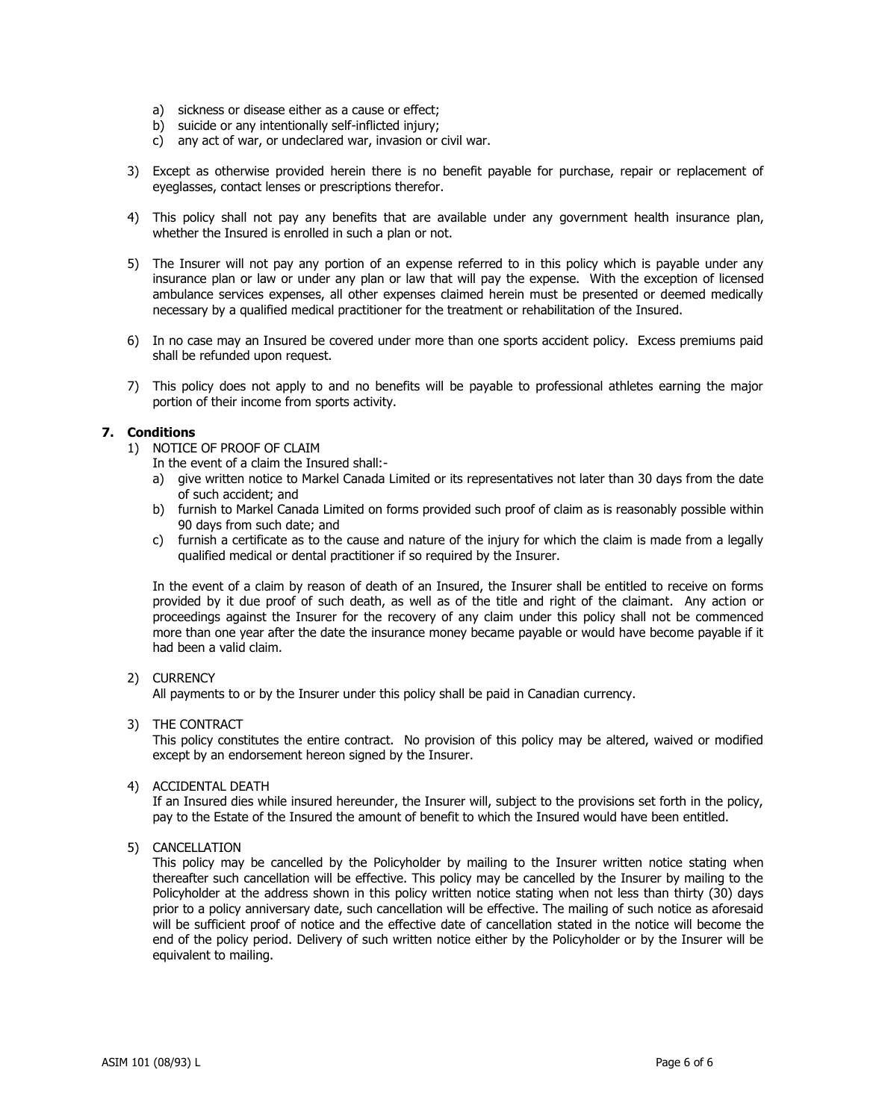- a) sickness or disease either as a cause or effect;
- b) suicide or any intentionally self-inflicted injury;
- c) any act of war, or undeclared war, invasion or civil war.
- 3) Except as otherwise provided herein there is no benefit payable for purchase, repair or replacement of eyeglasses, contact lenses or prescriptions therefor.
- 4) This policy shall not pay any benefits that are available under any government health insurance plan, whether the Insured is enrolled in such a plan or not.
- 5) The Insurer will not pay any portion of an expense referred to in this policy which is payable under any insurance plan or law or under any plan or law that will pay the expense. With the exception of licensed ambulance services expenses, all other expenses claimed herein must be presented or deemed medically necessary by a qualified medical practitioner for the treatment or rehabilitation of the Insured.
- 6) In no case may an Insured be covered under more than one sports accident policy. Excess premiums paid shall be refunded upon request.
- 7) This policy does not apply to and no benefits will be payable to professional athletes earning the major portion of their income from sports activity.

## **7. Conditions**

- 1) NOTICE OF PROOF OF CLAIM
	- In the event of a claim the Insured shall:-
	- a) give written notice to Markel Canada Limited or its representatives not later than 30 days from the date of such accident; and
	- b) furnish to Markel Canada Limited on forms provided such proof of claim as is reasonably possible within 90 days from such date; and
	- c) furnish a certificate as to the cause and nature of the injury for which the claim is made from a legally qualified medical or dental practitioner if so required by the Insurer.

In the event of a claim by reason of death of an Insured, the Insurer shall be entitled to receive on forms provided by it due proof of such death, as well as of the title and right of the claimant. Any action or proceedings against the Insurer for the recovery of any claim under this policy shall not be commenced more than one year after the date the insurance money became payable or would have become payable if it had been a valid claim.

## 2) CURRENCY

All payments to or by the Insurer under this policy shall be paid in Canadian currency.

## 3) THE CONTRACT

This policy constitutes the entire contract. No provision of this policy may be altered, waived or modified except by an endorsement hereon signed by the Insurer.

4) ACCIDENTAL DEATH

If an Insured dies while insured hereunder, the Insurer will, subject to the provisions set forth in the policy, pay to the Estate of the Insured the amount of benefit to which the Insured would have been entitled.

## 5) CANCELLATION

This policy may be cancelled by the Policyholder by mailing to the Insurer written notice stating when thereafter such cancellation will be effective. This policy may be cancelled by the Insurer by mailing to the Policyholder at the address shown in this policy written notice stating when not less than thirty (30) days prior to a policy anniversary date, such cancellation will be effective. The mailing of such notice as aforesaid will be sufficient proof of notice and the effective date of cancellation stated in the notice will become the end of the policy period. Delivery of such written notice either by the Policyholder or by the Insurer will be equivalent to mailing.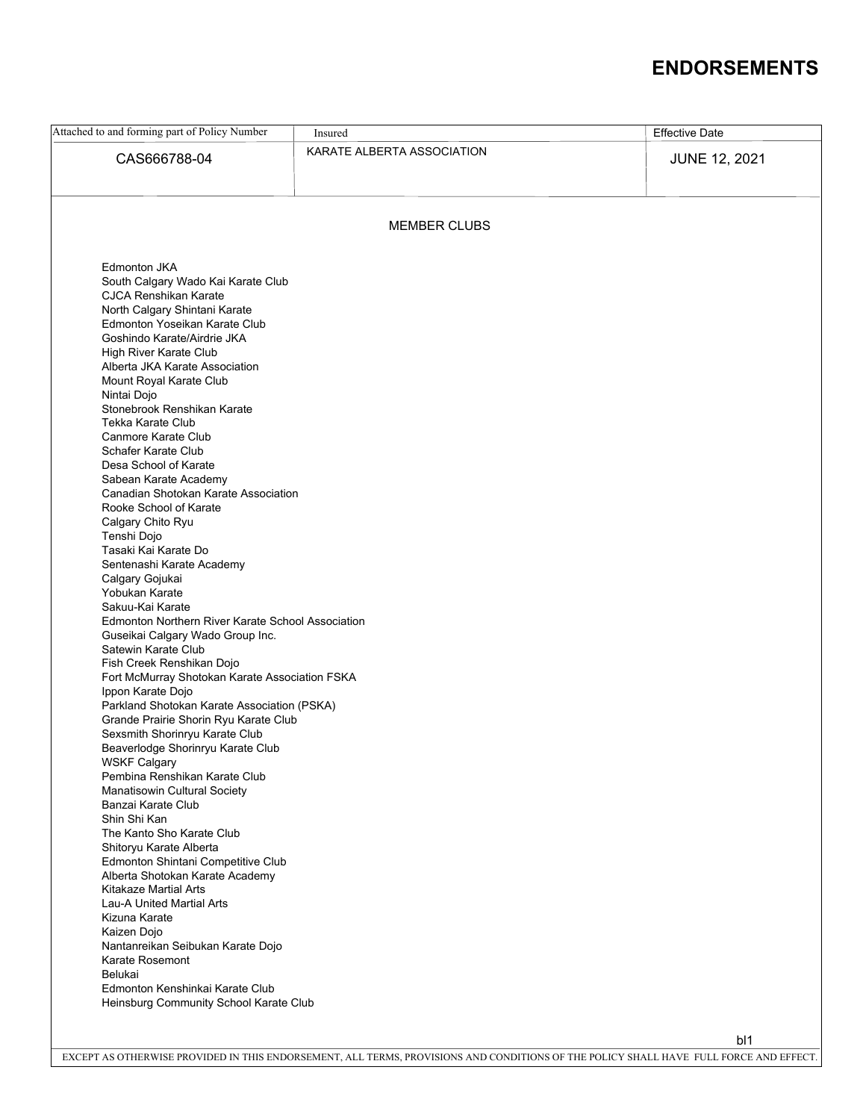# **ENDORSEMENTS**

| Attached to and forming part of Policy Number                                         | Insured                           |  | <b>Effective Date</b> |  |  |  |
|---------------------------------------------------------------------------------------|-----------------------------------|--|-----------------------|--|--|--|
|                                                                                       | KARATE ALBERTA ASSOCIATION        |  |                       |  |  |  |
| CAS666788-04                                                                          |                                   |  | <b>JUNE 12, 2021</b>  |  |  |  |
|                                                                                       |                                   |  |                       |  |  |  |
|                                                                                       |                                   |  |                       |  |  |  |
|                                                                                       |                                   |  |                       |  |  |  |
| <b>MEMBER CLUBS</b>                                                                   |                                   |  |                       |  |  |  |
|                                                                                       |                                   |  |                       |  |  |  |
| Edmonton JKA                                                                          |                                   |  |                       |  |  |  |
| South Calgary Wado Kai Karate Club                                                    |                                   |  |                       |  |  |  |
| CJCA Renshikan Karate                                                                 |                                   |  |                       |  |  |  |
| North Calgary Shintani Karate<br>Edmonton Yoseikan Karate Club                        |                                   |  |                       |  |  |  |
| Goshindo Karate/Airdrie JKA                                                           |                                   |  |                       |  |  |  |
| High River Karate Club                                                                |                                   |  |                       |  |  |  |
| Alberta JKA Karate Association                                                        |                                   |  |                       |  |  |  |
| Mount Royal Karate Club                                                               |                                   |  |                       |  |  |  |
| Nintai Dojo                                                                           |                                   |  |                       |  |  |  |
| Stonebrook Renshikan Karate<br>Tekka Karate Club                                      |                                   |  |                       |  |  |  |
| Canmore Karate Club                                                                   |                                   |  |                       |  |  |  |
| Schafer Karate Club                                                                   |                                   |  |                       |  |  |  |
| Desa School of Karate                                                                 |                                   |  |                       |  |  |  |
| Sabean Karate Academy                                                                 |                                   |  |                       |  |  |  |
| Canadian Shotokan Karate Association                                                  |                                   |  |                       |  |  |  |
| Rooke School of Karate                                                                |                                   |  |                       |  |  |  |
| Calgary Chito Ryu<br>Tenshi Dojo                                                      |                                   |  |                       |  |  |  |
| Tasaki Kai Karate Do                                                                  |                                   |  |                       |  |  |  |
| Sentenashi Karate Academy                                                             |                                   |  |                       |  |  |  |
| Calgary Gojukai                                                                       |                                   |  |                       |  |  |  |
| Yobukan Karate                                                                        |                                   |  |                       |  |  |  |
| Sakuu-Kai Karate                                                                      |                                   |  |                       |  |  |  |
| Edmonton Northern River Karate School Association<br>Guseikai Calgary Wado Group Inc. |                                   |  |                       |  |  |  |
| Satewin Karate Club                                                                   |                                   |  |                       |  |  |  |
| Fish Creek Renshikan Dojo                                                             |                                   |  |                       |  |  |  |
| Fort McMurray Shotokan Karate Association FSKA                                        |                                   |  |                       |  |  |  |
| Ippon Karate Dojo                                                                     |                                   |  |                       |  |  |  |
| Parkland Shotokan Karate Association (PSKA)                                           |                                   |  |                       |  |  |  |
| Grande Prairie Shorin Ryu Karate Club<br>Sexsmith Shorinryu Karate Club               |                                   |  |                       |  |  |  |
| Beaverlodge Shorinryu Karate Club                                                     |                                   |  |                       |  |  |  |
| <b>WSKF Calgary</b>                                                                   |                                   |  |                       |  |  |  |
| Pembina Renshikan Karate Club                                                         |                                   |  |                       |  |  |  |
| <b>Manatisowin Cultural Society</b>                                                   |                                   |  |                       |  |  |  |
| Banzai Karate Club                                                                    |                                   |  |                       |  |  |  |
| Shin Shi Kan<br>The Kanto Sho Karate Club                                             |                                   |  |                       |  |  |  |
| Shitoryu Karate Alberta                                                               |                                   |  |                       |  |  |  |
| Edmonton Shintani Competitive Club                                                    |                                   |  |                       |  |  |  |
| Alberta Shotokan Karate Academy                                                       |                                   |  |                       |  |  |  |
| <b>Kitakaze Martial Arts</b>                                                          |                                   |  |                       |  |  |  |
| Lau-A United Martial Arts                                                             |                                   |  |                       |  |  |  |
| Kizuna Karate                                                                         |                                   |  |                       |  |  |  |
| Kaizen Dojo                                                                           |                                   |  |                       |  |  |  |
| Karate Rosemont                                                                       | Nantanreikan Seibukan Karate Dojo |  |                       |  |  |  |
| Belukai                                                                               |                                   |  |                       |  |  |  |
| Edmonton Kenshinkai Karate Club                                                       |                                   |  |                       |  |  |  |
| Heinsburg Community School Karate Club                                                |                                   |  |                       |  |  |  |
|                                                                                       |                                   |  |                       |  |  |  |
|                                                                                       |                                   |  | b <sub>1</sub>        |  |  |  |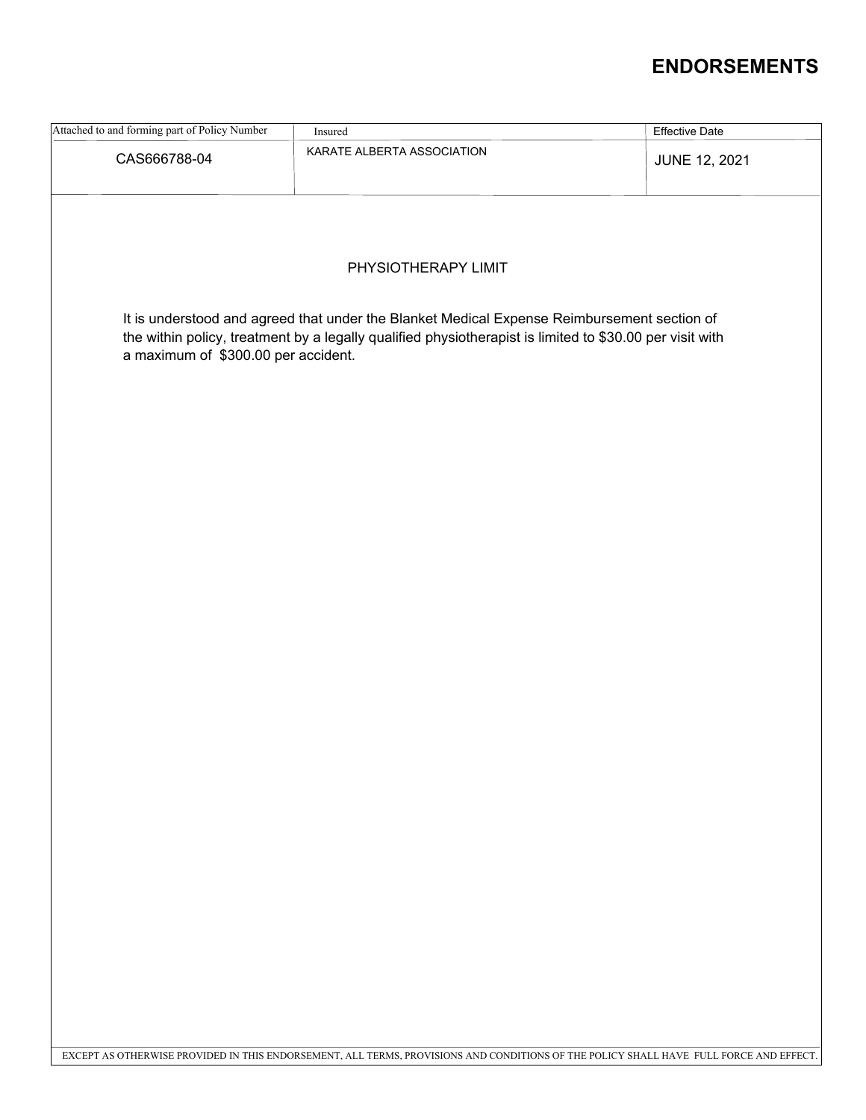# **ENDORSEMENTS**

| Attached to and forming part of Policy Number                                                                                                                                                                                                  | Insured                                                                                                                                | <b>Effective Date</b> |  |  |  |  |
|------------------------------------------------------------------------------------------------------------------------------------------------------------------------------------------------------------------------------------------------|----------------------------------------------------------------------------------------------------------------------------------------|-----------------------|--|--|--|--|
| CAS666788-04                                                                                                                                                                                                                                   | KARATE ALBERTA ASSOCIATION                                                                                                             | <b>JUNE 12, 2021</b>  |  |  |  |  |
| PHYSIOTHERAPY LIMIT                                                                                                                                                                                                                            |                                                                                                                                        |                       |  |  |  |  |
|                                                                                                                                                                                                                                                |                                                                                                                                        |                       |  |  |  |  |
| It is understood and agreed that under the Blanket Medical Expense Reimbursement section of<br>the within policy, treatment by a legally qualified physiotherapist is limited to \$30.00 per visit with<br>a maximum of \$300.00 per accident. |                                                                                                                                        |                       |  |  |  |  |
|                                                                                                                                                                                                                                                |                                                                                                                                        |                       |  |  |  |  |
|                                                                                                                                                                                                                                                |                                                                                                                                        |                       |  |  |  |  |
|                                                                                                                                                                                                                                                |                                                                                                                                        |                       |  |  |  |  |
|                                                                                                                                                                                                                                                |                                                                                                                                        |                       |  |  |  |  |
|                                                                                                                                                                                                                                                |                                                                                                                                        |                       |  |  |  |  |
|                                                                                                                                                                                                                                                |                                                                                                                                        |                       |  |  |  |  |
|                                                                                                                                                                                                                                                |                                                                                                                                        |                       |  |  |  |  |
|                                                                                                                                                                                                                                                |                                                                                                                                        |                       |  |  |  |  |
|                                                                                                                                                                                                                                                |                                                                                                                                        |                       |  |  |  |  |
|                                                                                                                                                                                                                                                |                                                                                                                                        |                       |  |  |  |  |
|                                                                                                                                                                                                                                                |                                                                                                                                        |                       |  |  |  |  |
|                                                                                                                                                                                                                                                | EXCEPT AS OTHERWISE PROVIDED IN THIS ENDORSEMENT, ALL TERMS, PROVISIONS AND CONDITIONS OF THE POLICY SHALL HAVE FULL FORCE AND EFFECT. |                       |  |  |  |  |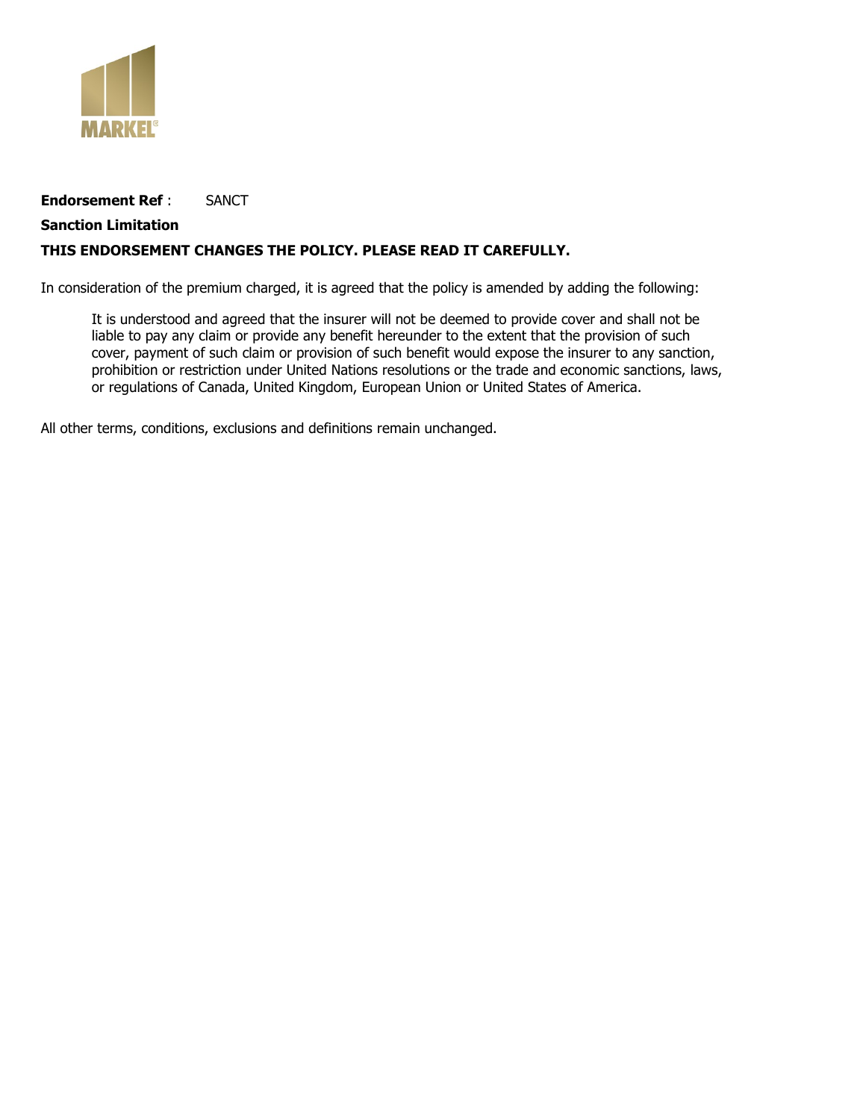

# **Endorsement Ref** : SANCT

# **Sanction Limitation**

# **THIS ENDORSEMENT CHANGES THE POLICY. PLEASE READ IT CAREFULLY.**

In consideration of the premium charged, it is agreed that the policy is amended by adding the following:

It is understood and agreed that the insurer will not be deemed to provide cover and shall not be liable to pay any claim or provide any benefit hereunder to the extent that the provision of such cover, payment of such claim or provision of such benefit would expose the insurer to any sanction, prohibition or restriction under United Nations resolutions or the trade and economic sanctions, laws, or regulations of Canada, United Kingdom, European Union or United States of America.

All other terms, conditions, exclusions and definitions remain unchanged.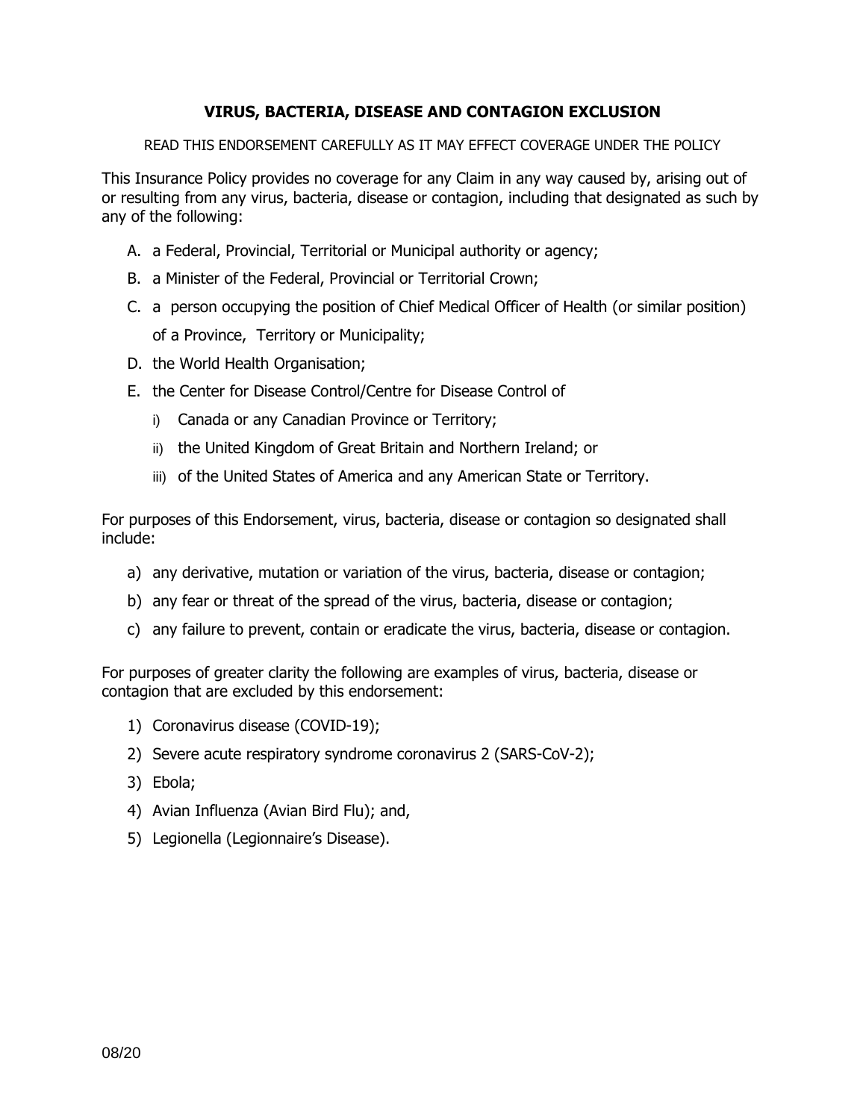# **VIRUS, BACTERIA, DISEASE AND CONTAGION EXCLUSION**

READ THIS ENDORSEMENT CAREFULLY AS IT MAY EFFECT COVERAGE UNDER THE POLICY

This Insurance Policy provides no coverage for any Claim in any way caused by, arising out of or resulting from any virus, bacteria, disease or contagion, including that designated as such by any of the following:

- A. a Federal, Provincial, Territorial or Municipal authority or agency;
- B. a Minister of the Federal, Provincial or Territorial Crown;
- C. a person occupying the position of Chief Medical Officer of Health (or similar position) of a Province, Territory or Municipality;
- D. the World Health Organisation;
- E. the Center for Disease Control/Centre for Disease Control of
	- i) Canada or any Canadian Province or Territory;
	- ii) the United Kingdom of Great Britain and Northern Ireland; or
	- iii) of the United States of America and any American State or Territory.

For purposes of this Endorsement, virus, bacteria, disease or contagion so designated shall include:

- a) any derivative, mutation or variation of the virus, bacteria, disease or contagion;
- b) any fear or threat of the spread of the virus, bacteria, disease or contagion;
- c) any failure to prevent, contain or eradicate the virus, bacteria, disease or contagion.

For purposes of greater clarity the following are examples of virus, bacteria, disease or contagion that are excluded by this endorsement:

- 1) Coronavirus disease (COVID-19);
- 2) Severe acute respiratory syndrome coronavirus 2 (SARS-CoV-2);
- 3) Ebola;
- 4) Avian Influenza (Avian Bird Flu); and,
- 5) Legionella (Legionnaire's Disease).